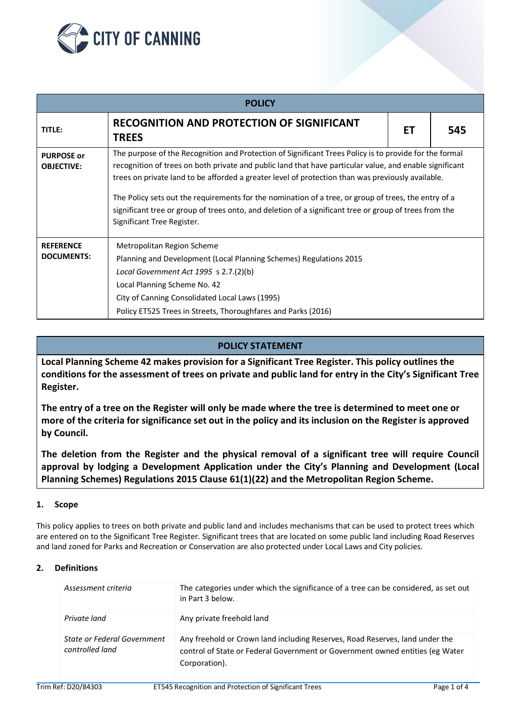

| <b>POLICY</b>                          |                                                                                                                                                                                                                                                                                                                                                                                                                                                                                                                                                                        |  |     |  |
|----------------------------------------|------------------------------------------------------------------------------------------------------------------------------------------------------------------------------------------------------------------------------------------------------------------------------------------------------------------------------------------------------------------------------------------------------------------------------------------------------------------------------------------------------------------------------------------------------------------------|--|-----|--|
| <b>TITLE:</b>                          | <b>RECOGNITION AND PROTECTION OF SIGNIFICANT</b><br><b>TREES</b>                                                                                                                                                                                                                                                                                                                                                                                                                                                                                                       |  | 545 |  |
| <b>PURPOSE or</b><br><b>OBJECTIVE:</b> | The purpose of the Recognition and Protection of Significant Trees Policy is to provide for the formal<br>recognition of trees on both private and public land that have particular value, and enable significant<br>trees on private land to be afforded a greater level of protection than was previously available.<br>The Policy sets out the requirements for the nomination of a tree, or group of trees, the entry of a<br>significant tree or group of trees onto, and deletion of a significant tree or group of trees from the<br>Significant Tree Register. |  |     |  |
| <b>REFERENCE</b><br><b>DOCUMENTS:</b>  | Metropolitan Region Scheme<br>Planning and Development (Local Planning Schemes) Regulations 2015<br>Local Government Act $1995$ s $2.7.(2)(b)$<br>Local Planning Scheme No. 42<br>City of Canning Consolidated Local Laws (1995)<br>Policy ET525 Trees in Streets, Thoroughfares and Parks (2016)                                                                                                                                                                                                                                                                      |  |     |  |

# **POLICY STATEMENT**

**Local Planning Scheme 42 makes provision for a Significant Tree Register. This policy outlines the conditions for the assessment of trees on private and public land for entry in the City's Significant Tree Register.**

**The entry of a tree on the Register will only be made where the tree is determined to meet one or more of the criteria for significance set out in the policy and its inclusion on the Register is approved by Council.**

**The deletion from the Register and the physical removal of a significant tree will require Council approval by lodging a Development Application under the City's Planning and Development (Local Planning Schemes) Regulations 2015 Clause 61(1)(22) and the Metropolitan Region Scheme.**

## **1. Scope**

This policy applies to trees on both private and public land and includes mechanisms that can be used to protect trees which are entered on to the Significant Tree Register. Significant trees that are located on some public land including Road Reserves and land zoned for Parks and Recreation or Conservation are also protected under Local Laws and City policies.

## **2. Definitions**

| Assessment criteria                            | The categories under which the significance of a tree can be considered, as set out<br>in Part 3 below.                                                                        |
|------------------------------------------------|--------------------------------------------------------------------------------------------------------------------------------------------------------------------------------|
| Private land                                   | Any private freehold land                                                                                                                                                      |
| State or Federal Government<br>controlled land | Any freehold or Crown land including Reserves, Road Reserves, land under the<br>control of State or Federal Government or Government owned entities (eg Water<br>Corporation). |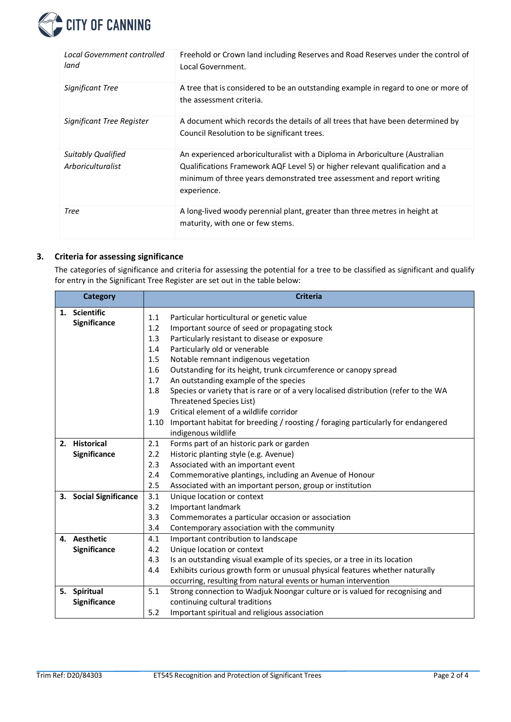

| Local Government controlled<br>land            | Freehold or Crown land including Reserves and Road Reserves under the control of<br>Local Government.                                                                                                                                                 |
|------------------------------------------------|-------------------------------------------------------------------------------------------------------------------------------------------------------------------------------------------------------------------------------------------------------|
| Significant Tree                               | A tree that is considered to be an outstanding example in regard to one or more of<br>the assessment criteria.                                                                                                                                        |
| Significant Tree Register                      | A document which records the details of all trees that have been determined by<br>Council Resolution to be significant trees.                                                                                                                         |
| <b>Suitably Qualified</b><br>Arboriculturalist | An experienced arboriculturalist with a Diploma in Arboriculture (Australian<br>Qualifications Framework AQF Level 5) or higher relevant qualification and a<br>minimum of three years demonstrated tree assessment and report writing<br>experience. |
| Tree                                           | A long-lived woody perennial plant, greater than three metres in height at<br>maturity, with one or few stems.                                                                                                                                        |

## **3. Criteria for assessing significance**

The categories of significance and criteria for assessing the potential for a tree to be classified as significant and qualify for entry in the Significant Tree Register are set out in the table below:

|  | Category               | <b>Criteria</b> |                                                                                      |  |
|--|------------------------|-----------------|--------------------------------------------------------------------------------------|--|
|  | 1. Scientific          | 1.1             | Particular horticultural or genetic value                                            |  |
|  | Significance           |                 | Important source of seed or propagating stock                                        |  |
|  |                        |                 | Particularly resistant to disease or exposure                                        |  |
|  |                        | 1.3<br>1.4      | Particularly old or venerable                                                        |  |
|  |                        | 1.5             | Notable remnant indigenous vegetation                                                |  |
|  |                        | 1.6             | Outstanding for its height, trunk circumference or canopy spread                     |  |
|  |                        | 1.7             | An outstanding example of the species                                                |  |
|  |                        | 1.8             | Species or variety that is rare or of a very localised distribution (refer to the WA |  |
|  |                        |                 | Threatened Species List)                                                             |  |
|  |                        | 1.9             | Critical element of a wildlife corridor                                              |  |
|  |                        | 1.10            | Important habitat for breeding / roosting / foraging particularly for endangered     |  |
|  |                        |                 | indigenous wildlife                                                                  |  |
|  | 2. Historical          | 2.1             | Forms part of an historic park or garden                                             |  |
|  | Significance           | 2.2             | Historic planting style (e.g. Avenue)                                                |  |
|  |                        | 2.3             | Associated with an important event                                                   |  |
|  |                        | 2.4             | Commemorative plantings, including an Avenue of Honour                               |  |
|  |                        | 2.5             | Associated with an important person, group or institution                            |  |
|  | 3. Social Significance | 3.1             | Unique location or context                                                           |  |
|  |                        | 3.2             | Important landmark                                                                   |  |
|  |                        | 3.3             | Commemorates a particular occasion or association                                    |  |
|  |                        | 3.4             | Contemporary association with the community                                          |  |
|  | 4. Aesthetic           | 4.1             | Important contribution to landscape                                                  |  |
|  | Significance           | 4.2             | Unique location or context                                                           |  |
|  |                        | 4.3             | Is an outstanding visual example of its species, or a tree in its location           |  |
|  |                        | 4.4             | Exhibits curious growth form or unusual physical features whether naturally          |  |
|  |                        |                 | occurring, resulting from natural events or human intervention                       |  |
|  | 5. Spiritual           | 5.1             | Strong connection to Wadjuk Noongar culture or is valued for recognising and         |  |
|  | Significance           |                 | continuing cultural traditions                                                       |  |
|  |                        | 5.2             | Important spiritual and religious association                                        |  |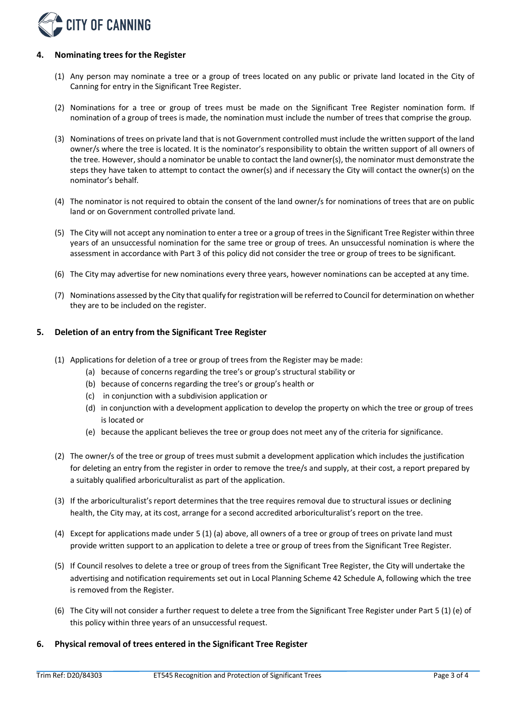

### **4. Nominating trees for the Register**

- (1) Any person may nominate a tree or a group of trees located on any public or private land located in the City of Canning for entry in the Significant Tree Register.
- (2) Nominations for a tree or group of trees must be made on the Significant Tree Register nomination form. If nomination of a group of trees is made, the nomination must include the number of trees that comprise the group.
- (3) Nominations of trees on private land that is not Government controlled must include the written support of the land owner/s where the tree is located. It is the nominator's responsibility to obtain the written support of all owners of the tree. However, should a nominator be unable to contact the land owner(s), the nominator must demonstrate the steps they have taken to attempt to contact the owner(s) and if necessary the City will contact the owner(s) on the nominator's behalf.
- (4) The nominator is not required to obtain the consent of the land owner/s for nominations of trees that are on public land or on Government controlled private land.
- (5) The City will not accept any nomination to enter a tree or a group of trees in the Significant Tree Register within three years of an unsuccessful nomination for the same tree or group of trees. An unsuccessful nomination is where the assessment in accordance with Part 3 of this policy did not consider the tree or group of trees to be significant.
- (6) The City may advertise for new nominations every three years, however nominations can be accepted at any time.
- (7) Nominations assessed by the City that qualify for registration will be referred to Council for determination on whether they are to be included on the register.

#### **5. Deletion of an entry from the Significant Tree Register**

- (1) Applications for deletion of a tree or group of trees from the Register may be made:
	- (a) because of concerns regarding the tree's or group's structural stability or
	- (b) because of concerns regarding the tree's or group's health or
	- (c) in conjunction with a subdivision application or
	- (d) in conjunction with a development application to develop the property on which the tree or group of trees is located or
	- (e) because the applicant believes the tree or group does not meet any of the criteria for significance.
- (2) The owner/s of the tree or group of trees must submit a development application which includes the justification for deleting an entry from the register in order to remove the tree/s and supply, at their cost, a report prepared by a suitably qualified arboriculturalist as part of the application.
- (3) If the arboriculturalist's report determines that the tree requires removal due to structural issues or declining health, the City may, at its cost, arrange for a second accredited arboriculturalist's report on the tree.
- (4) Except for applications made under 5 (1) (a) above, all owners of a tree or group of trees on private land must provide written support to an application to delete a tree or group of trees from the Significant Tree Register.
- (5) If Council resolves to delete a tree or group of trees from the Significant Tree Register, the City will undertake the advertising and notification requirements set out in Local Planning Scheme 42 Schedule A, following which the tree is removed from the Register.
- (6) The City will not consider a further request to delete a tree from the Significant Tree Register under Part 5 (1) (e) of this policy within three years of an unsuccessful request.

## **6. Physical removal of trees entered in the Significant Tree Register**